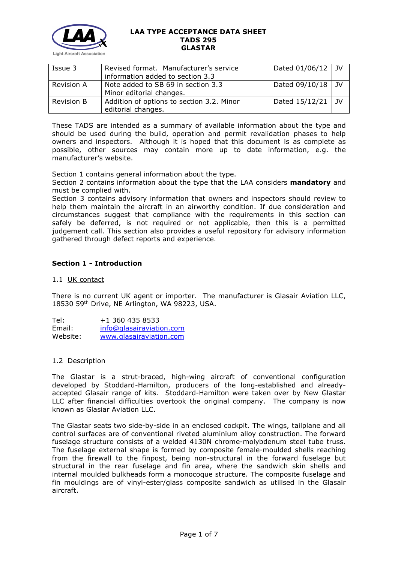

| Issue 3           | Revised format. Manufacturer's service    | Dated $01/06/12$ JV |  |
|-------------------|-------------------------------------------|---------------------|--|
|                   | information added to section 3.3          |                     |  |
| <b>Revision A</b> | Note added to SB 69 in section 3.3        | Dated $09/10/18$ JV |  |
|                   | Minor editorial changes.                  |                     |  |
| <b>Revision B</b> | Addition of options to section 3.2. Minor | Dated $15/12/21$ JV |  |
|                   | editorial changes.                        |                     |  |

These TADS are intended as a summary of available information about the type and should be used during the build, operation and permit revalidation phases to help owners and inspectors. Although it is hoped that this document is as complete as possible, other sources may contain more up to date information, e.g. the manufacturer's website.

Section 1 contains general information about the type.

Section 2 contains information about the type that the LAA considers **mandatory** and must be complied with.

Section 3 contains advisory information that owners and inspectors should review to help them maintain the aircraft in an airworthy condition. If due consideration and circumstances suggest that compliance with the requirements in this section can safely be deferred, is not required or not applicable, then this is a permitted judgement call. This section also provides a useful repository for advisory information gathered through defect reports and experience.

# **Section 1 - Introduction**

### 1.1 UK contact

There is no current UK agent or importer. The manufacturer is Glasair Aviation LLC, 18530 59th Drive, NE Arlington, WA 98223, USA.

Tel: +1 360 435 8533 Email: [info@glasairaviation.com](mailto:info@glasairaviation.com) Website: [www.glasairaviation.com](http://www.glasairaviation.com/)

### 1.2 Description

The Glastar is a strut-braced, high-wing aircraft of conventional configuration developed by Stoddard-Hamilton, producers of the long-established and alreadyaccepted Glasair range of kits. Stoddard-Hamilton were taken over by New Glastar LLC after financial difficulties overtook the original company. The company is now known as Glasiar Aviation LLC.

The Glastar seats two side-by-side in an enclosed cockpit. The wings, tailplane and all control surfaces are of conventional riveted aluminium alloy construction. The forward fuselage structure consists of a welded 4130N chrome-molybdenum steel tube truss. The fuselage external shape is formed by composite female-moulded shells reaching from the firewall to the finpost, being non-structural in the forward fuselage but structural in the rear fuselage and fin area, where the sandwich skin shells and internal moulded bulkheads form a monocoque structure. The composite fuselage and fin mouldings are of vinyl-ester/glass composite sandwich as utilised in the Glasair aircraft.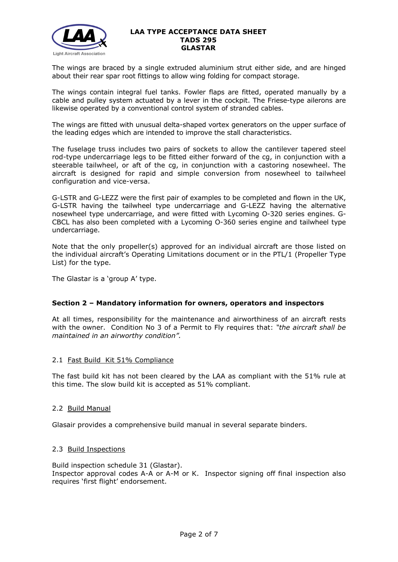

The wings are braced by a single extruded aluminium strut either side, and are hinged about their rear spar root fittings to allow wing folding for compact storage.

The wings contain integral fuel tanks. Fowler flaps are fitted, operated manually by a cable and pulley system actuated by a lever in the cockpit. The Friese-type ailerons are likewise operated by a conventional control system of stranded cables.

The wings are fitted with unusual delta-shaped vortex generators on the upper surface of the leading edges which are intended to improve the stall characteristics.

The fuselage truss includes two pairs of sockets to allow the cantilever tapered steel rod-type undercarriage legs to be fitted either forward of the cg, in conjunction with a steerable tailwheel, or aft of the cg, in conjunction with a castoring nosewheel. The aircraft is designed for rapid and simple conversion from nosewheel to tailwheel configuration and vice-versa.

G-LSTR and G-LEZZ were the first pair of examples to be completed and flown in the UK, G-LSTR having the tailwheel type undercarriage and G-LEZZ having the alternative nosewheel type undercarriage, and were fitted with Lycoming O-320 series engines. G-CBCL has also been completed with a Lycoming O-360 series engine and tailwheel type undercarriage.

Note that the only propeller(s) approved for an individual aircraft are those listed on the individual aircraft's Operating Limitations document or in the PTL/1 (Propeller Type List) for the type.

The Glastar is a 'group A' type.

### **Section 2 – Mandatory information for owners, operators and inspectors**

At all times, responsibility for the maintenance and airworthiness of an aircraft rests with the owner. Condition No 3 of a Permit to Fly requires that: *"the aircraft shall be maintained in an airworthy condition".* 

### 2.1 Fast Build Kit 51% Compliance

The fast build kit has not been cleared by the LAA as compliant with the 51% rule at this time. The slow build kit is accepted as 51% compliant.

### 2.2 Build Manual

Glasair provides a comprehensive build manual in several separate binders.

### 2.3 Build Inspections

Build inspection schedule 31 (Glastar). Inspector approval codes A-A or A-M or K. Inspector signing off final inspection also requires 'first flight' endorsement.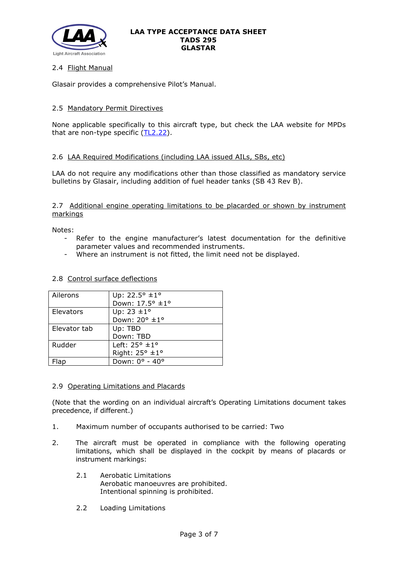

## 2.4 Flight Manual

Glasair provides a comprehensive Pilot's Manual.

## 2.5 Mandatory Permit Directives

None applicable specifically to this aircraft type, but check the LAA website for MPDs that are non-type specific  $(TL2.22)$ .

## 2.6 LAA Required Modifications (including LAA issued AILs, SBs, etc)

LAA do not require any modifications other than those classified as mandatory service bulletins by Glasair, including addition of fuel header tanks (SB 43 Rev B).

### 2.7 Additional engine operating limitations to be placarded or shown by instrument markings

Notes:

- Refer to the engine manufacturer's latest documentation for the definitive parameter values and recommended instruments.
- Where an instrument is not fitted, the limit need not be displayed.

### 2.8 Control surface deflections

| Ailerons     | Up: 22.5° ±1°          |
|--------------|------------------------|
|              | Down: 17.5° ±1°        |
| Elevators    | Up: $23 \pm 1^{\circ}$ |
|              | Down: 20° ±1°          |
| Elevator tab | Up: TBD                |
|              | Down: TBD              |
| Rudder       | Left: 25° ±1°          |
|              | Right: 25° ±1°         |
| lap          | Down: 0° - 40°         |

### 2.9 Operating Limitations and Placards

(Note that the wording on an individual aircraft's Operating Limitations document takes precedence, if different.)

- 1. Maximum number of occupants authorised to be carried: Two
- 2. The aircraft must be operated in compliance with the following operating limitations, which shall be displayed in the cockpit by means of placards or instrument markings:
	- 2.1 Aerobatic Limitations Aerobatic manoeuvres are prohibited. Intentional spinning is prohibited.
	- 2.2 Loading Limitations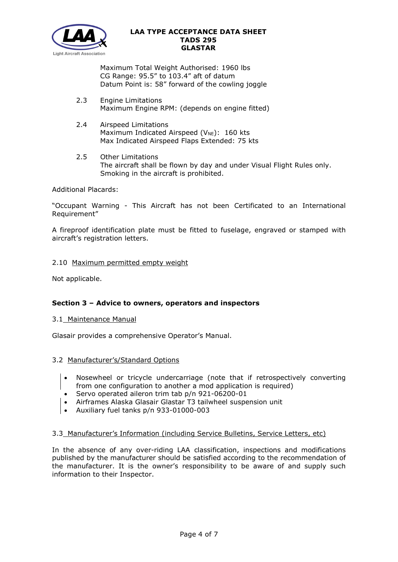

Maximum Total Weight Authorised: 1960 lbs CG Range: 95.5" to 103.4" aft of datum Datum Point is: 58" forward of the cowling joggle

- 2.3 Engine Limitations Maximum Engine RPM: (depends on engine fitted)
- 2.4 Airspeed Limitations Maximum Indicated Airspeed ( $V_{NE}$ ): 160 kts Max Indicated Airspeed Flaps Extended: 75 kts
- 2.5 Other Limitations The aircraft shall be flown by day and under Visual Flight Rules only. Smoking in the aircraft is prohibited.

## Additional Placards:

"Occupant Warning - This Aircraft has not been Certificated to an International Requirement"

A fireproof identification plate must be fitted to fuselage, engraved or stamped with aircraft's registration letters.

## 2.10 Maximum permitted empty weight

Not applicable.

# **Section 3 – Advice to owners, operators and inspectors**

### 3.1 Maintenance Manual

Glasair provides a comprehensive Operator's Manual.

### 3.2 Manufacturer's/Standard Options

- Nosewheel or tricycle undercarriage (note that if retrospectively converting from one configuration to another a mod application is required)
- Servo operated aileron trim tab p/n 921-06200-01
- Airframes Alaska Glasair Glastar T3 tailwheel suspension unit
- Auxiliary fuel tanks p/n 933-01000-003

### 3.3 Manufacturer's Information (including Service Bulletins, Service Letters, etc)

In the absence of any over-riding LAA classification, inspections and modifications published by the manufacturer should be satisfied according to the recommendation of the manufacturer. It is the owner's responsibility to be aware of and supply such information to their Inspector.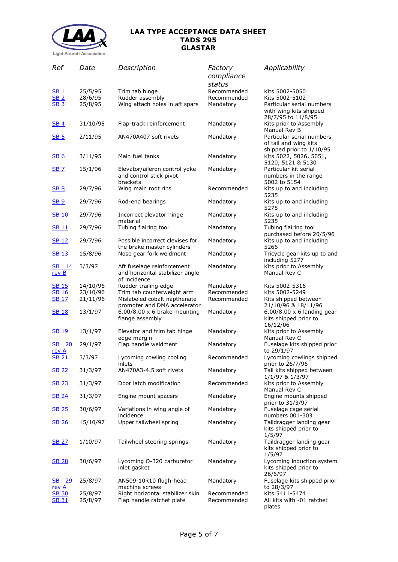

| Ref                          | Date               | Description                                                                   | Factory<br>compliance      | Applicability                                                                  |
|------------------------------|--------------------|-------------------------------------------------------------------------------|----------------------------|--------------------------------------------------------------------------------|
|                              |                    |                                                                               | status                     |                                                                                |
| <b>SB1</b>                   | 25/5/95            | Trim tab hinge                                                                | Recommended                | Kits 5002-5050                                                                 |
| SB <sub>2</sub>              | 28/6/95            | Rudder assembly                                                               | Recommended                | Kits 5002-5102                                                                 |
| SB <sub>3</sub>              | 25/8/95            | Wing attach holes in aft spars                                                | Mandatory                  | Particular serial numbers                                                      |
|                              |                    |                                                                               |                            | with wing kits shipped<br>28/7/95 to 11/8/95                                   |
| <b>SB4</b>                   | 31/10/95           | Flap-track reinforcement                                                      | Mandatory                  | Kits prior to Assembly<br>Manual Rev B                                         |
| <b>SB 5</b>                  | 2/11/95            | AN470A407 soft rivets                                                         | Mandatory                  | Particular serial numbers<br>of tail and wing kits<br>shipped prior to 1/10/95 |
| <b>SB6</b>                   | 3/11/95            | Main fuel tanks                                                               | Mandatory                  | Kits 5022, 5026, 5051,<br>5120, 5121 & 5130                                    |
| <b>SB 7</b>                  | 15/1/96            | Elevator/aileron control yoke<br>and control stick pivot<br>brackets          | Mandatory                  | Particular kit serial<br>numbers in the range<br>5002 to 5154                  |
| <b>SB 8</b>                  | 29/7/96            | Wing main root ribs                                                           | Recommended                | Kits up to and including<br>5235                                               |
| <u>SB 9</u>                  | 29/7/96            | Rod-end bearings                                                              | Mandatory                  | Kits up to and including<br>5275                                               |
| <b>SB 10</b>                 | 29/7/96            | Incorrect elevator hinge<br>material                                          | Mandatory                  | Kits up to and including<br>5235                                               |
| <b>SB11</b>                  | 29/7/96            | Tubing flairing tool                                                          | Mandatory                  | Tubing flairing tool<br>purchased before 20/5/96                               |
| <b>SB 12</b>                 | 29/7/96            | Possible incorrect clevises for<br>the brake master cylinders                 | Mandatory                  | Kits up to and including<br>5266                                               |
| <b>SB 13</b>                 | 15/8/96            | Nose gear fork weldment                                                       | Mandatory                  | Tricycle gear kits up to and<br>including 5277                                 |
| SB 14<br>rev B               | 3/3/97             | Aft fuselage reinforcement<br>and horizontal stabilizer angle<br>of incidence | Mandatory                  | Kits prior to Assembly<br>Manual Rev C                                         |
| <u>SB 15</u>                 | 14/10/96           | Rudder trailing edge                                                          | Mandatory                  | Kits 5002-5316                                                                 |
| <b>SB 16</b>                 | 23/10/96           | Trim tab counterweight arm                                                    | Recommended                | Kits 5002-5249                                                                 |
| <b>SB 17</b>                 | 21/11/96           | Mislabeled cobalt napthenate                                                  | Recommended                | Kits shipped between                                                           |
|                              |                    | promoter and DMA accelerator                                                  |                            | 21/10/96 & 18/11/96                                                            |
| <b>SB 18</b>                 | 13/1/97            | $6.00/8.00 \times 6$ brake mounting<br>flange assembly                        | Mandatory                  | $6.00/8.00 \times 6$ landing gear<br>kits shipped prior to<br>16/12/06         |
| <u>SB 19</u>                 | 13/1/97            | Elevator and trim tab hinge<br>edge margin                                    | Mandatory                  | Kits prior to Assembly<br>Manual Rev C                                         |
| SB 20<br>rev A               | 29/1/97            | Flap handle weldment                                                          | Mandatory                  | Fuselage kits shipped prior<br>to 29/1/97                                      |
| <b>SB 21</b>                 | 3/3/97             | Lycoming cowling cooling<br>inlets                                            | Recommended                | Lycoming cowlings shipped<br>prior to 26/7/96                                  |
| <b>SB 22</b>                 | 31/3/97            | AN470A3-4.5 soft rivets                                                       | Mandatory                  | Tail kits shipped between<br>1/1/97 & 1/3/97                                   |
| <b>SB 23</b>                 | 31/3/97            | Door latch modification                                                       | Recommended                | Kits prior to Assembly<br>Manual Rev C                                         |
| <b>SB 24</b>                 | 31/3/97            | Engine mount spacers                                                          | Mandatory                  | Engine mounts shipped<br>prior to 31/3/97                                      |
| <b>SB 25</b>                 | 30/6/97            | Variations in wing angle of<br>incidence                                      | Mandatory                  | Fuselage cage serial<br>numbers 001-303                                        |
| <u>SB 26</u>                 | 15/10/97           | Upper tailwheel spring                                                        | Mandatory                  | Taildragger landing gear<br>kits shipped prior to<br>1/5/97                    |
| <b>SB 27</b>                 | 1/10/97            | Tailwheel steering springs                                                    | Mandatory                  | Taildragger landing gear<br>kits shipped prior to<br>1/5/97                    |
| <b>SB 28</b>                 | 30/6/97            | Lycoming O-320 carburetor<br>inlet gasket                                     | Mandatory                  | Lycoming induction system<br>kits shipped prior to<br>26/6/97                  |
| SB 29<br>rev A               | 25/8/97            | AN509-10R10 flugh-head<br>machine screws                                      | Mandatory                  | Fuselage kits shipped prior<br>to 28/3/97                                      |
| <b>SB 30</b><br><b>SB 31</b> | 25/8/97<br>25/8/97 | Right horizontal stabilizer skin<br>Flap handle ratchet plate                 | Recommended<br>Recommended | Kits 5411-5474<br>All kits with -01 ratchet<br>plates                          |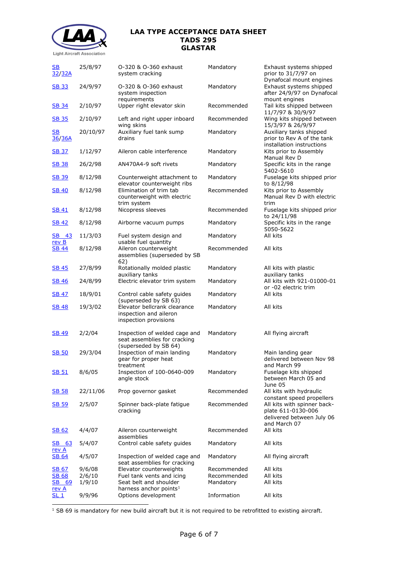

25/8/97 O-320 & O-360 exhaust

[SB](http://www.lightaircraftassociation.co.uk/engineering/TADs/295/gssb32.pdf) 

#### **LAA TYPE ACCEPTANCE DATA SHEET TADS 295 GLASTAR**

Mandatory Exhaust systems shipped

| <u>32/32A</u>                       |          | system cracking                                                                        |             | prior to 31/7/97 on                                                                            |
|-------------------------------------|----------|----------------------------------------------------------------------------------------|-------------|------------------------------------------------------------------------------------------------|
| <b>SB 33</b>                        | 24/9/97  | O-320 & O-360 exhaust<br>system inspection                                             | Mandatory   | Dynafocal mount engines<br>Exhaust systems shipped<br>after 24/9/97 on Dynafocal               |
| <b>SB 34</b>                        | 2/10/97  | requirements<br>Upper right elevator skin                                              | Recommended | mount engines<br>Tail kits shipped between<br>11/7/97 & 30/9/97                                |
| <b>SB 35</b>                        | 2/10/97  | Left and right upper inboard<br>wing skins                                             | Recommended | Wing kits shipped between<br>15/3/97 & 26/9/97                                                 |
| $\underline{\mathsf{SB}}$<br>36/36A | 20/10/97 | Auxiliary fuel tank sump<br>drains                                                     | Mandatory   | Auxiliary tanks shipped<br>prior to Rev A of the tank<br>installation instructions             |
| <b>SB 37</b>                        | 1/12/97  | Aileron cable interference                                                             | Mandatory   | Kits prior to Assembly<br>Manual Rev D                                                         |
| <b>SB 38</b>                        | 26/2/98  | AN470A4-9 soft rivets                                                                  | Mandatory   | Specific kits in the range<br>5402-5610                                                        |
| <b>SB 39</b>                        | 8/12/98  | Counterweight attachment to<br>elevator counterweight ribs                             | Mandatory   | Fuselage kits shipped prior<br>to 8/12/98                                                      |
| <b>SB 40</b>                        | 8/12/98  | Elimination of trim tab<br>counterweight with electric<br>trim system                  | Recommended | Kits prior to Assembly<br>Manual Rev D with electric<br>trim                                   |
| SB 41                               | 8/12/98  | Nicopress sleeves                                                                      | Recommended | Fuselage kits shipped prior<br>to 24/11/98                                                     |
| <b>SB 42</b>                        | 8/12/98  | Airborne vacuum pumps                                                                  | Mandatory   | Specific kits in the range<br>5050-5622                                                        |
| <b>SB</b> 43<br>rev B               | 11/3/03  | Fuel system design and<br>usable fuel quantity                                         | Mandatory   | All kits                                                                                       |
| <u>SB 44</u>                        | 8/12/98  | Aileron counterweight<br>assemblies (superseded by SB<br>62)                           | Recommended | All kits                                                                                       |
| <u>SB 45</u>                        | 27/8/99  | Rotationally molded plastic<br>auxiliary tanks                                         | Mandatory   | All kits with plastic<br>auxiliary tanks                                                       |
| <b>SB 46</b>                        | 24/8/99  | Electric elevator trim system                                                          | Mandatory   | All kits with 921-01000-01<br>or -02 electric trim                                             |
| <u>SB 47</u>                        | 18/9/01  | Control cable safety guides<br>(superseded by SB 63)                                   | Mandatory   | All kits                                                                                       |
| <b>SB 48</b>                        | 19/3/02  | Elevator bellcrank clearance<br>inspection and aileron<br>inspection provisions        | Mandatory   | All kits                                                                                       |
| <b>SB 49</b>                        | 2/2/04   | Inspection of welded cage and<br>seat assemblies for cracking<br>(superseded by SB 64) | Mandatory   | All flying aircraft                                                                            |
| <b>SB 50</b>                        | 29/3/04  | Inspection of main landing<br>gear for proper heat<br>treatment                        | Mandatory   | Main landing gear<br>delivered between Nov 98<br>and March 99                                  |
| <b>SB 51</b>                        | 8/6/05   | Inspection of 100-0640-009<br>angle stock                                              | Mandatory   | Fuselage kits shipped<br>between March 05 and<br>June 05                                       |
| <b>SB 58</b>                        | 22/11/06 | Prop governor gasket                                                                   | Recommended | All kits with hydraulic<br>constant speed propellers                                           |
| <b>SB 59</b>                        | 2/5/07   | Spinner back-plate fatigue<br>cracking                                                 | Recommended | All kits with spinner back-<br>plate 611-0130-006<br>delivered between July 06<br>and March 07 |
| SB 62                               | 4/4/07   | Aileron counterweight<br>assemblies                                                    | Recommended | All kits                                                                                       |
| SB 63<br><u>rev A</u>               | 5/4/07   | Control cable safety guides                                                            | Mandatory   | All kits                                                                                       |
| <b>SB 64</b>                        | 4/5/07   | Inspection of welded cage and<br>seat assemblies for cracking                          | Mandatory   | All flying aircraft                                                                            |
| <b>SB 67</b>                        | 9/6/08   | Elevator counterweights                                                                | Recommended | All kits                                                                                       |
| <b>SB 68</b>                        | 2/6/10   | Fuel tank vents and icing                                                              | Recommended | All kits                                                                                       |
|                                     |          | Seat belt and shoulder                                                                 | Mandatory   | All kits                                                                                       |
| SB 69                               | 1/9/10   |                                                                                        |             |                                                                                                |
| <u>rev A</u><br>SL 1                | 9/9/96   | harness anchor points <sup>1</sup><br>Options development                              | Information | All kits                                                                                       |

<span id="page-5-0"></span><sup>1</sup> SB 69 is mandatory for new build aircraft but it is not required to be retrofitted to existing aircraft.